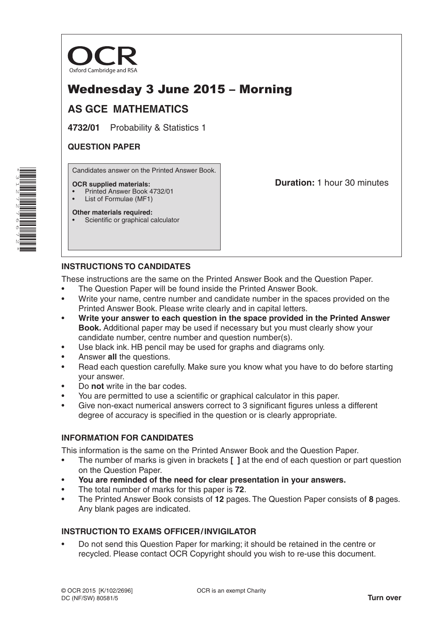

# Wednesday 3 June 2015 – Morning

## **AS GCE MATHEMATICS**

**4732/01** Probability & Statistics 1

## **QUESTION PAPER**

Candidates answer on the Printed Answer Book.

#### **OCR supplied materials:**

- Printed Answer Book 4732/01
- List of Formulae (MF1)

**Other materials required:** Scientific or graphical calculator **Duration:** 1 hour 30 minutes

## **INSTRUCTIONS TO CANDIDATES**

These instructions are the same on the Printed Answer Book and the Question Paper.

- The Question Paper will be found inside the Printed Answer Book.
- Write your name, centre number and candidate number in the spaces provided on the Printed Answer Book. Please write clearly and in capital letters.
- **Write your answer to each question in the space provided in the Printed Answer Book.** Additional paper may be used if necessary but you must clearly show your candidate number, centre number and question number(s).
- Use black ink. HB pencil may be used for graphs and diagrams only.
- Answer **all** the questions.
- Read each question carefully. Make sure you know what you have to do before starting your answer.
- Do **not** write in the bar codes.
- You are permitted to use a scientific or graphical calculator in this paper.
- Give non-exact numerical answers correct to 3 significant figures unless a different degree of accuracy is specified in the question or is clearly appropriate.

## **INFORMATION FOR CANDIDATES**

This information is the same on the Printed Answer Book and the Question Paper.

- The number of marks is given in brackets **[ ]** at the end of each question or part question on the Question Paper.
- **You are reminded of the need for clear presentation in your answers.**
- The total number of marks for this paper is **72**.
- The Printed Answer Book consists of **12** pages. The Question Paper consists of **8** pages. Any blank pages are indicated.

## **INSTRUCTION TO EXAMS OFFICER / INVIGILATOR**

• Do not send this Question Paper for marking; it should be retained in the centre or recycled. Please contact OCR Copyright should you wish to re-use this document.

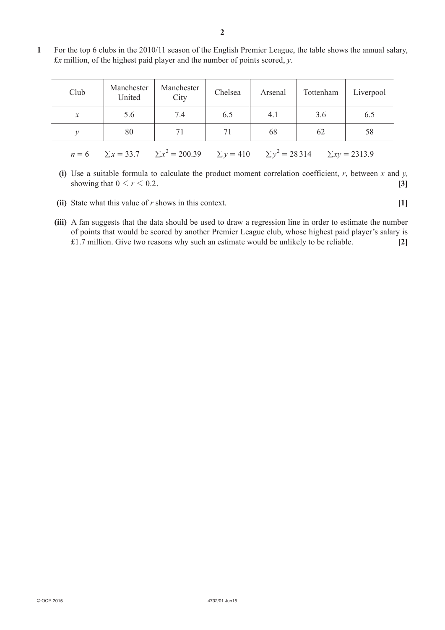**1**  For the top 6 clubs in the 2010/11 season of the English Premier League, the table shows the annual salary, £*x* million, of the highest paid player and the number of points scored, *y*.

| Club             | Manchester<br>United | Manchester<br>City                                                                                         | Chelsea | Arsenal | Tottenham | Liverpool |
|------------------|----------------------|------------------------------------------------------------------------------------------------------------|---------|---------|-----------|-----------|
| $\boldsymbol{x}$ | 5.6                  | 7.4                                                                                                        | 6.5     | 4.1     | 3.6       | 6.5       |
|                  | 80                   | 71                                                                                                         | 71      | 68      | 62        | 58        |
|                  |                      | $n = 6$ $\Sigma x = 33.7$ $\Sigma x^2 = 200.39$ $\Sigma y = 410$ $\Sigma y^2 = 28314$ $\Sigma xy = 2313.9$ |         |         |           |           |

- **(i)** Use a suitable formula to calculate the product moment correlation coefficient,  $r$ , between  $x$  and  $y$ , showing that  $0 \le r \le 0.2$ . [3]
- **(ii)** State what this value of *r* shows in this context. **[1]**
- 
- **(iii)** A fan suggests that the data should be used to draw a regression line in order to estimate the number of points that would be scored by another Premier League club, whose highest paid player's salary is £1.7 million. Give two reasons why such an estimate would be unlikely to be reliable. **[2]**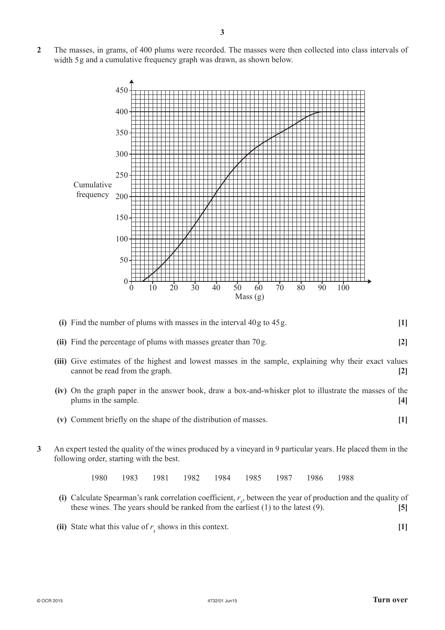

| (i) Find the number of plums with masses in the interval $40g$ to $45g$ . |  |
|---------------------------------------------------------------------------|--|
| (ii) Find the percentage of plums with masses greater than 70 g.          |  |

- **(iii)** Give estimates of the highest and lowest masses in the sample, explaining why their exact values cannot be read from the graph. **[2]**
- **(iv)** On the graph paper in the answer book, draw a box-and-whisker plot to illustrate the masses of the plums in the sample. **[4]**
- **(v)** Comment briefly on the shape of the distribution of masses. **[1]**
- **3**  An expert tested the quality of the wines produced by a vineyard in 9 particular years. He placed them in the following order, starting with the best.

1980 1983 1981 1982 1984 1985 1987 1986 1988

- **(i)** Calculate Spearman's rank correlation coefficient,  $r_s$ , between the year of production and the quality of these wines. The years should be ranked from the earliest (1) to the latest (9). **[5]**
- (ii) State what this value of  $r_s$  shows in this context.  $\begin{bmatrix} 1 \end{bmatrix}$

**3**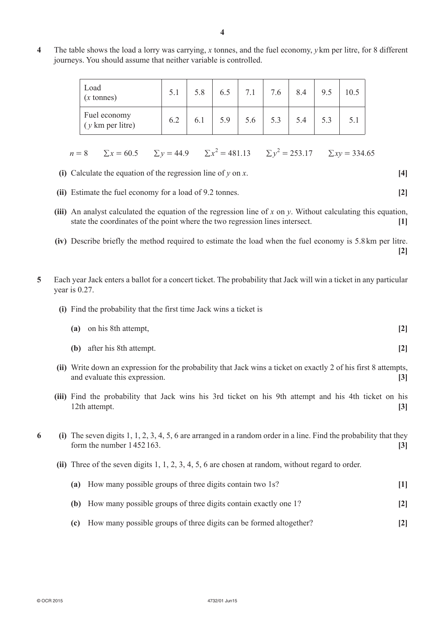**4**  The table shows the load a lorry was carrying, *x* tonnes, and the fuel economy, *y* km per litre, for 8 different journeys. You should assume that neither variable is controlled.

| Load<br>$(x \text{ tonnes})$               |     | 5.8 | 6.5 | $\overline{\phantom{0}}$ | 7.6 | 8.4 |            |
|--------------------------------------------|-----|-----|-----|--------------------------|-----|-----|------------|
| Fuel economy<br>$(y \text{ km per litre})$ | 6.2 |     | 5.9 | 5.6                      |     | 5.4 | $\cup$ . 1 |

- $n = 8$   $\Sigma x = 60.5$   $\Sigma y = 44.9$   $\Sigma x^2 = 481.13$   $\Sigma y^2 = 253.17$   $\Sigma xy = 334.65$
- **(i)** Calculate the equation of the regression line of *y* on *x*. [4]
- **(ii)** Estimate the fuel economy for a load of 9.2 tonnes. **[2]**
- **(iii)** An analyst calculated the equation of the regression line of  $x$  on  $y$ . Without calculating this equation, state the coordinates of the point where the two regression lines intersect. **[1]**
- **(iv)** Describe briefly the method required to estimate the load when the fuel economy is 5.8 km per litre. **[2]**
- **5**  Each year Jack enters a ballot for a concert ticket. The probability that Jack will win a ticket in any particular year is 0.27.
	- **(i)** Find the probability that the first time Jack wins a ticket is

|  | (a) on his 8th attempt, | [2] |  |
|--|-------------------------|-----|--|
|--|-------------------------|-----|--|

- **(b)** after his 8th attempt. **[2]**
- **(ii)** Write down an expression for the probability that Jack wins a ticket on exactly 2 of his first 8 attempts, and evaluate this expression. **[3]**
- **(iii)**  Find the probability that Jack wins his 3rd ticket on his 9th attempt and his 4th ticket on his 12th attempt. **[3]**
- **6** (i) The seven digits 1, 1, 2, 3, 4, 5, 6 are arranged in a random order in a line. Find the probability that they form the number 1452 163. **[3]**
	- **(ii)** Three of the seven digits 1, 1, 2, 3, 4, 5, 6 are chosen at random, without regard to order.
		- **(a)** How many possible groups of three digits contain two 1s? **[1]**
		- **(b)** How many possible groups of three digits contain exactly one 1? [2]
		- **(c)** How many possible groups of three digits can be formed altogether? **[2]**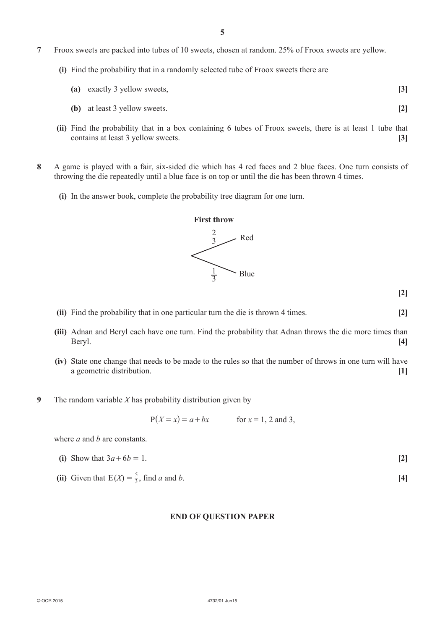- **7**  Froox sweets are packed into tubes of 10 sweets, chosen at random. 25% of Froox sweets are yellow.
	- **(i)** Find the probability that in a randomly selected tube of Froox sweets there are
		- **(a)** exactly 3 yellow sweets, **[3]**
		- **(b)** at least 3 yellow sweets.  $\begin{bmatrix} 2 \end{bmatrix}$
	- **(ii)** Find the probability that in a box containing 6 tubes of Froox sweets, there is at least 1 tube that contains at least 3 yellow sweets. **[3]**
- **8**  A game is played with a fair, six-sided die which has 4 red faces and 2 blue faces. One turn consists of throwing the die repeatedly until a blue face is on top or until the die has been thrown 4 times.
	- **(i)** In the answer book, complete the probability tree diagram for one turn.

#### **First throw**



- **(ii)** Find the probability that in one particular turn the die is thrown 4 times. **[2]**
- **(iii)** Adnan and Beryl each have one turn. Find the probability that Adnan throws the die more times than Beryl. **[4]**
- **(iv)** State one change that needs to be made to the rules so that the number of throws in one turn will have a geometric distribution. **[1]**
- **9**  The random variable *X* has probability distribution given by

$$
P(X = x) = a + bx \qquad \text{for } x = 1, 2 \text{ and } 3,
$$

where *a* and *b* are constants.

- **(i)** Show that  $3a + 6b = 1$ . [2]
- (ii) Given that  $E(X) = \frac{5}{3}$ , find *a* and *b*. [4]

#### **END OF QUESTION PAPER**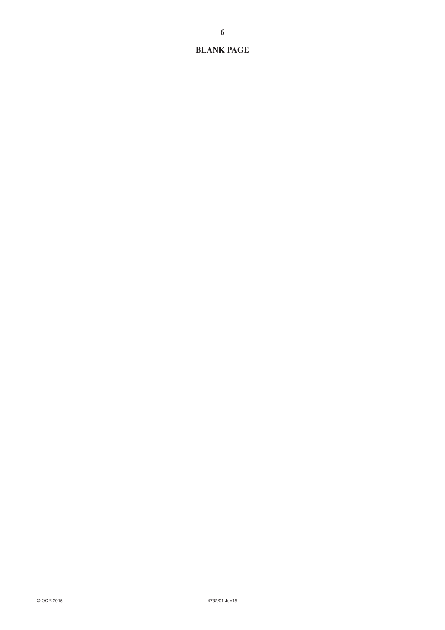#### **BLANK PAGE**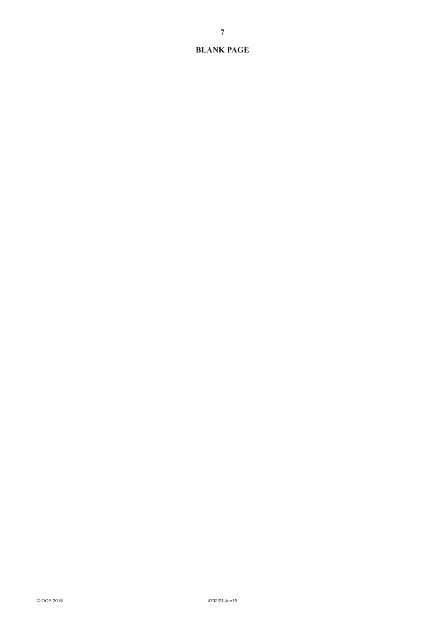#### **BLANK PAGE**